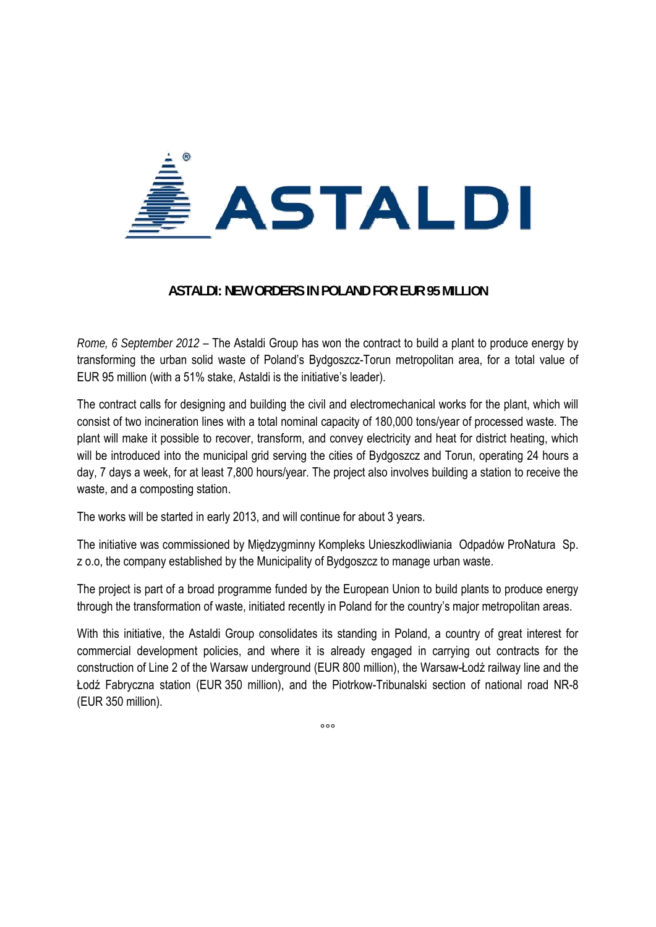

## **ASTALDI: NEW ORDERS IN POLAND FOR EUR 95 MILLION**

*Rome, 6 September 2012* – The Astaldi Group has won the contract to build a plant to produce energy by transforming the urban solid waste of Poland's Bydgoszcz-Torun metropolitan area, for a total value of EUR 95 million (with a 51% stake, Astaldi is the initiative's leader).

The contract calls for designing and building the civil and electromechanical works for the plant, which will consist of two incineration lines with a total nominal capacity of 180,000 tons/year of processed waste. The plant will make it possible to recover, transform, and convey electricity and heat for district heating, which will be introduced into the municipal grid serving the cities of Bydgoszcz and Torun, operating 24 hours a day, 7 days a week, for at least 7,800 hours/year. The project also involves building a station to receive the waste, and a composting station.

The works will be started in early 2013, and will continue for about 3 years.

The initiative was commissioned by Międzygminny Kompleks Unieszkodliwiania Odpadów ProNatura Sp. z o.o, the company established by the Municipality of Bydgoszcz to manage urban waste.

The project is part of a broad programme funded by the European Union to build plants to produce energy through the transformation of waste, initiated recently in Poland for the country's major metropolitan areas.

With this initiative, the Astaldi Group consolidates its standing in Poland, a country of great interest for commercial development policies, and where it is already engaged in carrying out contracts for the construction of Line 2 of the Warsaw underground (EUR 800 million), the Warsaw-Łodź railway line and the Łodź Fabryczna station (EUR 350 million), and the Piotrkow-Tribunalski section of national road NR-8 (EUR 350 million).

 $000$